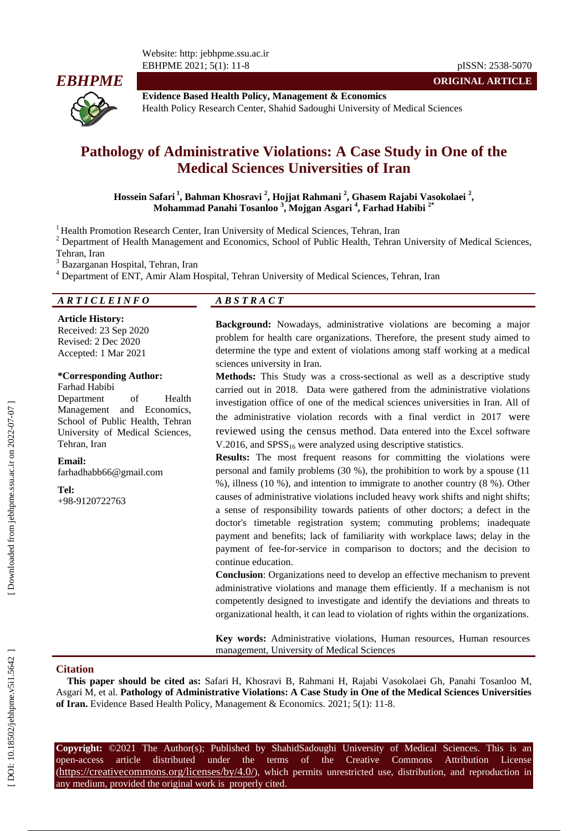

8 pISSN: 2538 -5070

**ORIGINAL ARTICLE**

**Evidence Based Health Policy, Management & Economics** Health Policy Research Center, Shahid Sadoughi University of Medical Sciences

# **Pathology of Administrative Violations: A Case Study in One of the Medical Sciences Universities of Iran**

 $\bf{H}$ ossein Safari<sup>1</sup>, Bahman Khosravi<sup>2</sup>, Hojjat Rahmani<sup>2</sup>, Ghasem Rajabi Vasokolaei<sup>2</sup>, **Mohammad Panahi Tosanloo 3 , Mojgan Asgari 4 , Farhad Habibi 2\***

<sup>1</sup> Health Promotion Research Center, Iran University of Medical Sciences, Tehran, Iran

<sup>2</sup> Department of Health Management and Economics, School of Public Health, Tehran University of Medical Sciences, Tehran, Iran<br><sup>3</sup> Bazarganan Hospital, Tehran, Iran<br><sup>4</sup> Department of ENT, Amir Alam Hospital, Tehran University of Medical Sciences, Tehran, Iran

## *A R T I C L E I N F O A B S T R A C T*

**Article History:** Received: 23 Sep 2020 Revised: 2 Dec 202 0 Accepted: 1 Mar 202 1

### **\*Corresponding Author:**

Farhad Habibi Department of Health Management and Economics, School of Public Health, Tehran University of Medical Sciences, Tehran, Iran

**Email:** farhadhabb66@gmail.com

**Tel:**

+98-9120722763

**Background:** Nowadays, administrative violations are becoming a major problem for health care organizations. Therefore, the present study aimed to determine the type and extent of violations among staff working at a medical sciences university in Iran.

**Methods:** This Study was a cross -sectional as well as a descriptive study carried out in 2018. Data were gathered from the administrative violations investigation office of one of the medical sciences universities in Iran. All of the administrative violation records with a final verdict in 201 7 were reviewed using the census method. Data entered into the Excel software V.2016, and  $SPSS_{16}$  were analyzed using descriptive statistics.

**Results:** The most frequent reasons for committing the violations were personal and family problems (30 %), the prohibition to work by a spouse (11 %), illness (10 %), and intention to immigrate to another country (8 %). Other causes of administrative violations included heavy work shifts and night shifts; a sense of responsibility towards patients of other doctors; a defect in the doctor's timetable registration system; commuting problems; inadequate payment and benefits; lack of familiarity with workplace laws; delay in the payment of fee -for -service in comparison to doctors; and the decision to continue education.

**Conclusion**: Organizations need to develop an effective mechanism to prevent administrative violations and manage them efficiently. If a mechanism is not competently designed to investigate and identify the deviations and threats to organizational health, it can lead to violation of rights within the organizations.

**Key words:** Administrative violations, Human resources, Human resources management, University of Medical Sciences

### **Citation**

**This paper should be cited as:** Safari H, Khosravi B, Rahmani H, Rajabi Vasokolaei Gh , Panahi Tosanloo M, Asgari M, et al. **Pathology of Administrative Violations: A Case Study in One of the Medical Sciences Universities**  of Iran. Evidence Based Health Policy, Management & Economics. 2021; 5(1): 11-8.

**Copyright:** ©2021 The Author(s); Published by ShahidSadoughi University of Medical Sciences. This is an open-access -access article distributed under the terms of the Creative Commons Attribution License (https://creativecommons.org/licenses/by/4.0/), which permits unrestricted use, distribution, and reproduction in any medium, provided the original work is properly cited.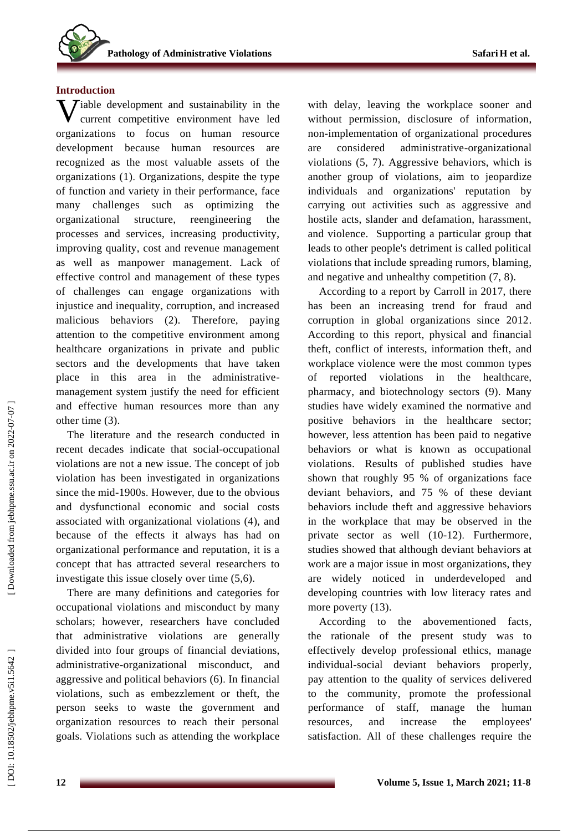### **Introduction**

**V** iable development and sustainability in the current competitive environment have led current competitive environment have led organizations to focus on human resource development because human resources are recognized as the most valuable assets of the organizations (1) . Organizations, despite the type of function and variety in their performance, face many challenges such as optimizing the organizational structure, reengineering the processes and services, increasing productivity, improving quality, cost and revenue management as well as manpower management. Lack of effective control and management of these types of challenges can engage organizations with injustice and inequality, corruption, and increased malicious behaviors (2) . Therefore, paying attention to the competitive environment among healthcare organizations in private and public sectors and the developments that have taken place in this area in the administrative management system justify the need for efficient and effective human resources more than any other time (3).

The literature and the research conducted in recent decades indicate that social -occupational violations are not a new issue. The concept of job violation has been investigated in organizations since the mid -1900s . However, due to the obvious and dysfunctional economic and social costs associated with organizational violations (4), and because of the effects it always has had on organizational performance and reputation, it is a concept that has attracted several researchers to investigate this issue closely over time (5,6) .

There are many definitions and categories for occupational violations and misconduct by many scholars; however, researchers have concluded that administrative violations are generally divided into four groups of financial deviations, administrative -organizational misconduct, and aggressive and political behaviors (6) . In financial violations, such as embezzlement or theft, the person seek s to waste the government and organization resources to reach their personal goals. Violations such as attending the workplace

with delay , leaving the workplace sooner an d without permission, disclosure of information, non -implementation of organizational procedures are considered administrative -organizational violations (5, 7) . Aggressive behaviors, which is another group of violations, aim to jeopardize individuals and organizations' reputation by carrying out activities such as aggressive and hostile acts, slander and defamation, harassment, and violence. Supporting a particular group that leads to other people's detriment is called political violations that include spreading rumors, blaming, and negative and unhealthy competition  $(7, 8)$ .

According to a report by Carroll in 2017, there has been an increasing trend for fraud and corruption in global organizations since 2012 . According to this report, physical and financial theft, conflict of interest s, information theft, and workplace violence were the most common types of reported violations in the healthcare, pharmacy, and biotechnology sectors (9) . Many studies have widely examined the normative and positive behaviors in the healthcare sector; however, less attention has been paid to negative behaviors or what is known as occupational violations. Results of published studies have shown that roughly 95 % of organizations face deviant behaviors , and 75 % of these deviant behaviors include theft and aggressive behaviors in the workplace that may be observed in the private sector as well (10-12). Furthermore, studies showed that although deviant behaviors at work are a major issue in most organizations , they are widely noticed in underdeveloped and developing countries with low literacy rates and more poverty  $(13)$ .

According to the abovementioned facts, the rationale of the present study was to effectively develop professional ethics, manage individual -social deviant behaviors properly, pay attention to the quality of service s delivered to the community, promote the professional performance of staff , manage the human resources , and increase the employees' satisfaction. All of these challenges require the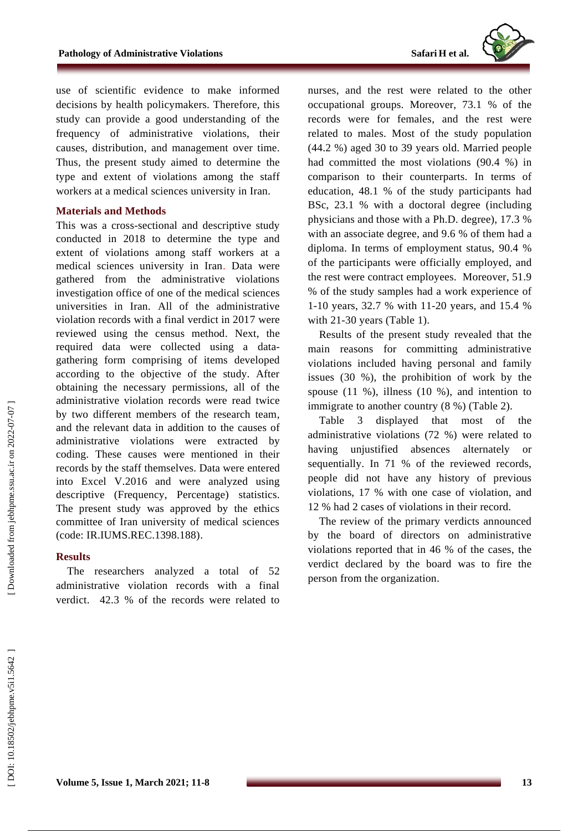

use of scientific evidence to make informed decisions by health policymakers. Therefore, this study can provide a good understanding of the frequency of administrative violations, their causes, distribution , and management over time. Thus, the present study aimed to determine the type and extent of violations among the staff workers at a medical sciences university in Iran.

### **Material s and Methods**

This was a cross -sectional and descriptive study conducted in 2018 to determine the type and extent of violations among staff workers at a medical sciences university in Iran . Data were gathered from the administrative violations investigation office of one of the medical sciences universities in Iran. All of the administrative violation records with a final verdict in 201 7 were reviewed using the census method . Next, the required data were collected using a data gathering form comprising of items developed according to the objective of the study. After obtaining the necessary permissions, all of the administrative violation records were read twice by two different members of the research team , and the relevant data in addition to the causes of administrative violations were extracted by coding . These causes were mentioned in their records by the staff themselves. Data were entered into Excel V.2016 and were analyzed using descriptive (Frequency, Percentage) statistics. The present study was approved by the ethics committee of Iran university of medical sciences (code: IR.IUMS.REC.1398.188) .

### **Results**

The researchers analyzed a total of 52 administrative violation records with a final verdict. 42.3 % of the records were related to

nurses , and the rest were related to the other occupational groups. Moreover, 73.1 % of the records were for females , and the rest were related to males. Most of the study population (44.2 %) aged 30 to 39 years old. Married people had committed the most violations (90.4 %) in comparison to their counterparts. In terms of education, 48.1 % of the study participants had BSc, 23.1 % with a doctoral degree (including physicians and those with a Ph.D. degree), 17.3 % with an associate degree, and 9.6 % of them had a diploma. In terms of employment status, 90.4 % of the participants were officially employed , and the rest were contract employees. Moreover, 51.9 % of the study samples had a work experience of 1-10 years, 32.7 % with 11-20 years, and 15.4 % with 21-30 years (Table 1).

Results of the present study revealed that the main reasons for committing administrative violations included having personal and family issues (30 %), the prohibition of work by the spouse (11 %), illness (10 %), and intention to immigrate to another country  $(8%)$  (Table 2).

Table 3 displayed that most of the administrative violations (72 %) were related to having unjustified absences alternately or sequentially. In 71 % of the reviewed records, people did not have any history of previous violations, 17 % with one case of violation, and 12 % had 2 cases of violations in their record.

The review of the primary verdicts announced by the board of directors on administrative violations reported that in 46 % of the cases , the verdict declared by the board was to fire the person from the organization.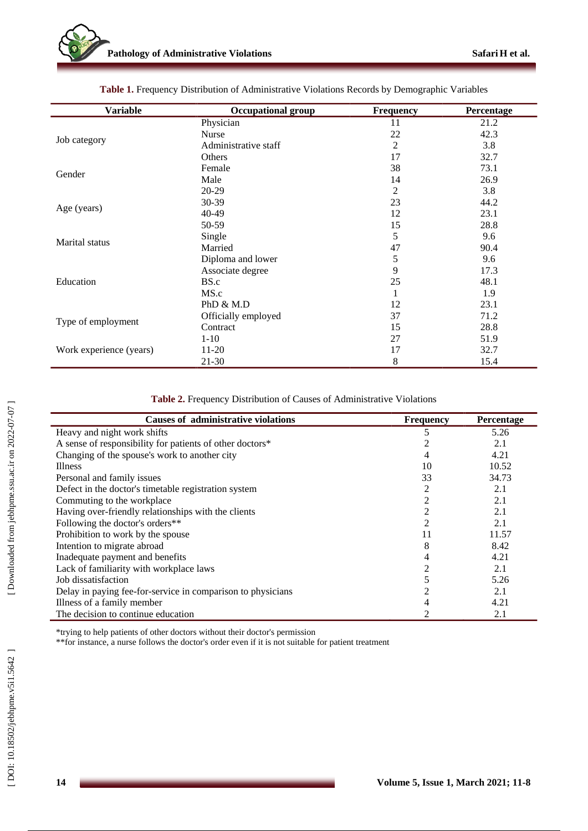| <b>Variable</b>         | <b>Occupational group</b> | <b>Frequency</b> | Percentage |
|-------------------------|---------------------------|------------------|------------|
|                         | Physician                 | 11               | 21.2       |
|                         | <b>Nurse</b>              | 22               | 42.3       |
| Job category            | Administrative staff      | $\overline{2}$   | 3.8        |
|                         | Others                    | 17               | 32.7       |
| Gender                  | Female                    | 38               | 73.1       |
|                         | Male                      | 14               | 26.9       |
|                         | 20-29                     | 2                | 3.8        |
| Age (years)             | 30-39                     | 23               | 44.2       |
|                         | $40-49$                   | 12               | 23.1       |
|                         | 50-59                     | 15               | 28.8       |
| Marital status          | Single                    | 5                | 9.6        |
|                         | Married                   | 47               | 90.4       |
|                         | Diploma and lower         | 5                | 9.6        |
|                         | Associate degree          | 9                | 17.3       |
| Education               | BS.c                      | 25               | 48.1       |
|                         | MS.c                      | 1                | 1.9        |
|                         | PhD $\&$ M.D              | 12               | 23.1       |
|                         | Officially employed       | 37               | 71.2       |
| Type of employment      | Contract                  | 15               | 28.8       |
|                         | $1-10$                    | 27               | 51.9       |
| Work experience (years) | 11-20                     | 17               | 32.7       |
|                         | $21-30$                   | 8                | 15.4       |

Table 1. Frequency Distribution of Administrative Violations Records by Demographic Variables

### **Table 2 .** Frequency Distribution of Causes of Administrative Violations

| <b>Causes of administrative violations</b>                  | <b>Frequency</b> | Percentage |
|-------------------------------------------------------------|------------------|------------|
| Heavy and night work shifts                                 |                  | 5.26       |
| A sense of responsibility for patients of other doctors*    |                  | 2.1        |
| Changing of the spouse's work to another city               |                  | 4.21       |
| <b>Illness</b>                                              | 10               | 10.52      |
| Personal and family issues                                  | 33               | 34.73      |
| Defect in the doctor's timetable registration system        |                  | 2.1        |
| Commuting to the workplace                                  |                  | 2.1        |
| Having over-friendly relationships with the clients         |                  | 2.1        |
| Following the doctor's orders**                             |                  | 2.1        |
| Prohibition to work by the spouse                           |                  | 11.57      |
| Intention to migrate abroad                                 | 8                | 8.42       |
| Inadequate payment and benefits                             |                  | 4.21       |
| Lack of familiarity with workplace laws                     |                  | 2.1        |
| Job dissatisfaction                                         |                  | 5.26       |
| Delay in paying fee-for-service in comparison to physicians |                  | 2.1        |
| Illness of a family member                                  |                  | 4.21       |
| The decision to continue education                          |                  | 2.1        |

\*trying to help patients of other doctors without their doctor's permission

\*\*for instance, a nurse follows the doctor's order even if it is not suitable for patient treatment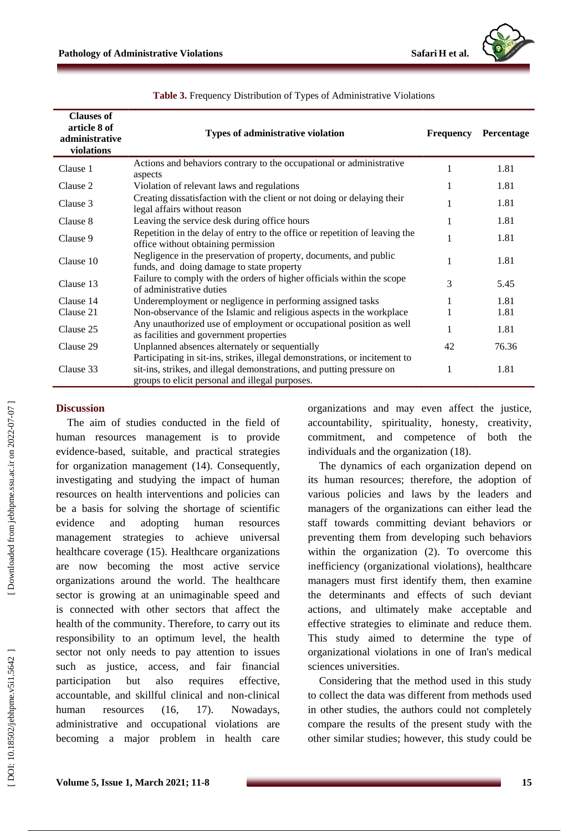

| <b>Clauses of</b><br>article 8 of<br>administrative<br>violations | <b>Types of administrative violation</b>                                                                                                                                                                | <b>Frequency</b> | <b>Percentage</b> |
|-------------------------------------------------------------------|---------------------------------------------------------------------------------------------------------------------------------------------------------------------------------------------------------|------------------|-------------------|
| Clause 1                                                          | Actions and behaviors contrary to the occupational or administrative<br>aspects                                                                                                                         |                  | 1.81              |
| Clause 2                                                          | Violation of relevant laws and regulations                                                                                                                                                              | 1                | 1.81              |
| Clause 3                                                          | Creating dissatisfaction with the client or not doing or delaying their<br>legal affairs without reason                                                                                                 | 1                | 1.81              |
| Clause 8                                                          | Leaving the service desk during office hours                                                                                                                                                            | 1                | 1.81              |
| Clause 9                                                          | Repetition in the delay of entry to the office or repetition of leaving the<br>office without obtaining permission                                                                                      | 1                | 1.81              |
| Clause 10                                                         | Negligence in the preservation of property, documents, and public<br>funds, and doing damage to state property                                                                                          | 1                | 1.81              |
| Clause 13                                                         | Failure to comply with the orders of higher officials within the scope<br>of administrative duties                                                                                                      | 3                | 5.45              |
| Clause 14                                                         | Underemployment or negligence in performing assigned tasks                                                                                                                                              | 1                | 1.81              |
| Clause 21                                                         | Non-observance of the Islamic and religious aspects in the workplace                                                                                                                                    |                  | 1.81              |
| Clause 25                                                         | Any unauthorized use of employment or occupational position as well<br>as facilities and government properties                                                                                          | 1                | 1.81              |
| Clause 29                                                         | Unplanned absences alternately or sequentially                                                                                                                                                          | 42               | 76.36             |
| Clause 33                                                         | Participating in sit-ins, strikes, illegal demonstrations, or incitement to<br>sit-ins, strikes, and illegal demonstrations, and putting pressure on<br>groups to elicit personal and illegal purposes. | 1                | 1.81              |

### **Table 3 .** Frequency Distribution of Types of Administrative Violations

# Downloaded from jebhpme.ssu.ac.ir on 2022-07-07

# **Discussion**

The aim of studies conducted in the field of human resources management is to provide evidence -based, suitable , and practical strategies for organization management (14) . Consequently, investigating and studying the impact of human resources on health interventions and policies can be a basis for solving the shortage of scientific evidence and adopting human resources management strategies to achieve universal healthcare coverage (15). Healthcare organizations are now becoming the most active service organizations around the world . The healthcare sector is growing at an unimaginable speed and is connected with other sectors that affect the health of the community. Therefore, to carry out its responsibility to an optimum level, the health sector not only needs to pay attention to issues such as justice, access, and fair financial participation but also requires effective, accountable, and skillful clinical and non -clinical human resources (16, 17). Nowadays, administrative and occupational violations are becoming a major problem in health care

organizations and may even affect the justice, accountability, spirituality, honesty, creativity, commitment , and competence of both the individual s and the organization (18).

The dynamics of each organization depend on its human resources; therefore, the adoption of various policies and laws by the leaders and managers of the organizations can either lead the staff towards committing deviant behaviors or preventing them from developing such behaviors within the organization (2). To overcome this inefficiency (organizational violations), healthcare managers must first identify them, then examine the determinants and effects of such deviant actions, and ultimately make acceptable and effective strategies to eliminate and reduce them . This study aimed to determine the type of organizational violations in one of Iran's medical sciences universities .

Considering that the method used in this study to collect the data was different from methods used in other studies, the authors could not completely compar e the results of the present study with the other similar studies ; however, this study could be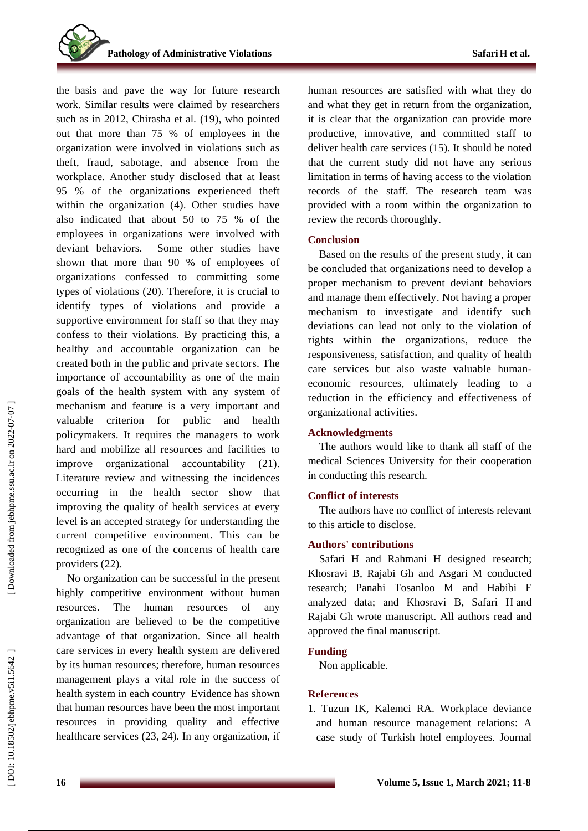the basis and pave the way for future research work . Similar results were claimed by researchers such as in 2012, Chirasha et al. (19) , who pointed out that more than 75 % of employees in the organization were involved in violations such as theft, fraud, sabotage, and absence from the workplace . Another study disclosed that at least 95 % of the organizations experience d theft within the organization (4). Other studies have also indicated that about 50 to 75 % of the employees in organizations were involved with deviant behaviors. Some other studies have shown that more than 90 % of employees of organizations confessed to committing some types of violations (20) . Therefore, it is crucial to identify types of violation s and provide a supportive environment for staff so that they may confess to their violations. By practicing this, a healthy and accountable organization can be created both in the public and private sectors. The importance of accountability as one of the main goals of the health system with any system of mechanism and feature is a very important and valuable criterion for public and health policymakers. It requires the managers to work hard and mobilize all resources and facilities to improve organizational accountability (21). Literature review and witnessing the incidences occurring in the health sector show that improving the quality of health services at every level is an accepted strategy for understanding the current competitive environment. This can be recognized as one of the concerns of health care providers (22).

No organization can be successful in the present highly competitive environment without human resources. The human resources of any organization are believed to be the competitive advantage of that organization . Since all health care services in every health system are delivered by its human resources; therefore, human resource s management play s a vital role in the success of health system in each country Evidence has shown that human resources have been the most important resources in providing quality and effective healthcare services (23, 24). In any organization, if

human resources are satisfied with what they do and what they get in return from the organization, it is clear that the organization can provide more productive, innovative , and committed staff to deliver health care services (15) . It should be noted that the current study did not have any serious limitation in terms of having access to the violation records of the staff. The research team was provided with a room within the organization to review the records thoroughly.

### **Conclusion**

Based on the results of the present stud y, it can be concluded that organizations need to develop a proper mechanism to prevent deviant behaviors and manage them effectively. Not having a proper mechanism to investigate and identify such deviations can lead not only to the violation of rights within the organizations, reduce the responsiveness, satisfaction , and quality of health care services but also waste valuable human economic resources, ultimately leading to a reduction in the efficiency and effectiveness of organizational activities.

### **Acknowledgments**

The authors would like to thank all staff of the medical Sciences University for their cooperation in conducting this research.

### **Conflict of interests**

The authors have no conflict of interests relevant to this article to disclose.

### **Authors' contributions**

Safari H and Rahmani H designed research; Khosravi B, Rajabi Gh and Asgari M conducted research; Panahi Tosanloo M and Habibi F analyzed data; and Khosravi B, Safari H and Rajabi Gh wrote manuscript. All authors read and approved the final manuscript .

### **Funding**

Non applicable .

### **References**

1. Tuzun IK, Kalemci RA. Workplace deviance and human resource management relations: A case study of Turkish hotel employees. Journal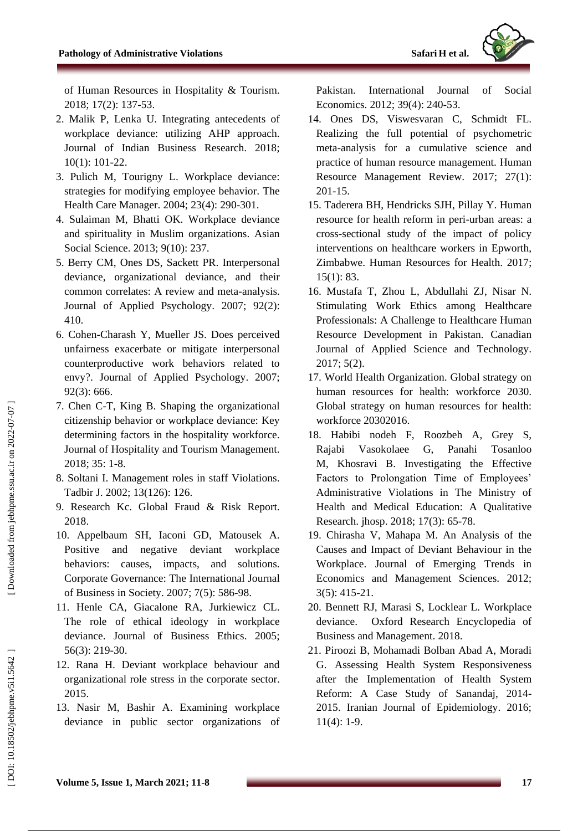

of Human Resources in Hospitality & Tourism. 2018; 17(2): 137 -53.

- 2. Malik P, Lenka U. Integrating antecedents of workplace deviance: utilizing AHP approach. Journal of Indian Business Research. 2018; 10(1): 101 -22.
- 3. Pulich M, Tourigny L. Workplace deviance: strategies for modifying employee behavior. The Health Care Manager. 2004; 23(4): 290 -301.
- 4. Sulaiman M, Bhatti OK. Workplace deviance and spirituality in Muslim organizations. Asian Social Science. 2013; 9(10): 237.
- 5. Berry CM, Ones DS, Sackett PR. Interpersonal deviance, organizational deviance, and their common correlates: A review and meta -analysis. Journal of Applied Psychology. 2007; 92(2): 410.
- 6. Cohen -Charash Y, Mueller JS. Does perceived unfairness exacerbate or mitigate interpersonal counterproductive work behaviors related to envy? . Journal of Applied Psychology. 2007; 92(3): 666.
- 7. Chen C -T, King B. Shaping the organizational citizenship behavior or workplace deviance: Key determining factors in the hospitality workforce. Journal of Hospitality and Tourism Management. 2018; 35: 1 -8.
- 8. Soltani I. Management roles in staff Violations. Tadbir J. 2002; 13(126): 126.
- 9. Research Kc. Global Fraud & Risk Report. 2018.
- 10. Appelbaum SH, Iaconi GD, Matousek A. Positive and negative deviant workplace behaviors: causes, impacts, and solutions. Corporate Governance: The International Journal of Business in Society. 2007; 7(5): 586 -98.
- 11. Henle CA, Giacalone RA, Jurkiewicz CL. The role of ethical ideology in workplace deviance. Journal of Business Ethics. 2005; 56(3): 219 -30.
- 12. Rana H. Deviant workplace behaviour and organizational role stress in the corporate sector. 2015.
- 13. Nasir M, Bashir A. Examining workplace deviance in public sector organizations of

Pakistan. International Journal of Social Economics. 2012; 39(4): 240 -53.

- 14. Ones DS, Viswesvaran C, Schmidt FL. Realizing the full potential of psychometric meta -analysis for a cumulative science and practice of human resource management. Human Resource Management Review. 2017; 27(1): 201 -15.
- 15. Taderera BH, Hendricks SJH, Pillay Y. Human resource for health reform in peri -urban areas: a cross -sectional study of the impact of policy interventions on healthcare workers in Epworth, Zimbabwe. Human Resources for Health. 2017; 15(1): 83.
- 16. Mustafa T, Zhou L, Abdullahi ZJ, Nisar N. Stimulating Work Ethics among Healthcare Professionals: A Challenge to Healthcare Human Resource Development in Pakistan. Canadian Journal of Applied Science and Technology. 2017; 5(2).
- 17. World Health Organization. Global strategy on human resources for health: workforce 2030. Global strategy on human resources for health: workforce 20302016.
- 18. Habibi nodeh F, Roozbeh A, Grey S, Rajabi Vasokolaee G, Panahi Tosanloo M, Khosravi B. Investigating the Effective Factors to Prolongation Time of Employees' Administrative Violations in The Ministry of Health and Medical Education: A Qualitative Research. jhosp. 2018; 17(3): 65 -78.
- 19. Chirasha V, Mahapa M. An Analysis of the Causes and Impact of Deviant Behaviour in the Workplace. Journal of Emerging Trends in Economics and Management Sciences. 2012; 3(5): 415 -21.
- 20. Bennett RJ, Marasi S, Locklear L. Workplace deviance. Oxford Research Encyclopedia of Business and Management. 2018.
- 21. Piroozi B, Mohamadi Bolban Abad A, Moradi G. Assessing Health System Responsiveness after the Implementation of Health System Reform: A Case Study of Sanandaj, 2014 - 2015. Iranian Journal of Epidemiology. 2016; 11(4): 1 -9.